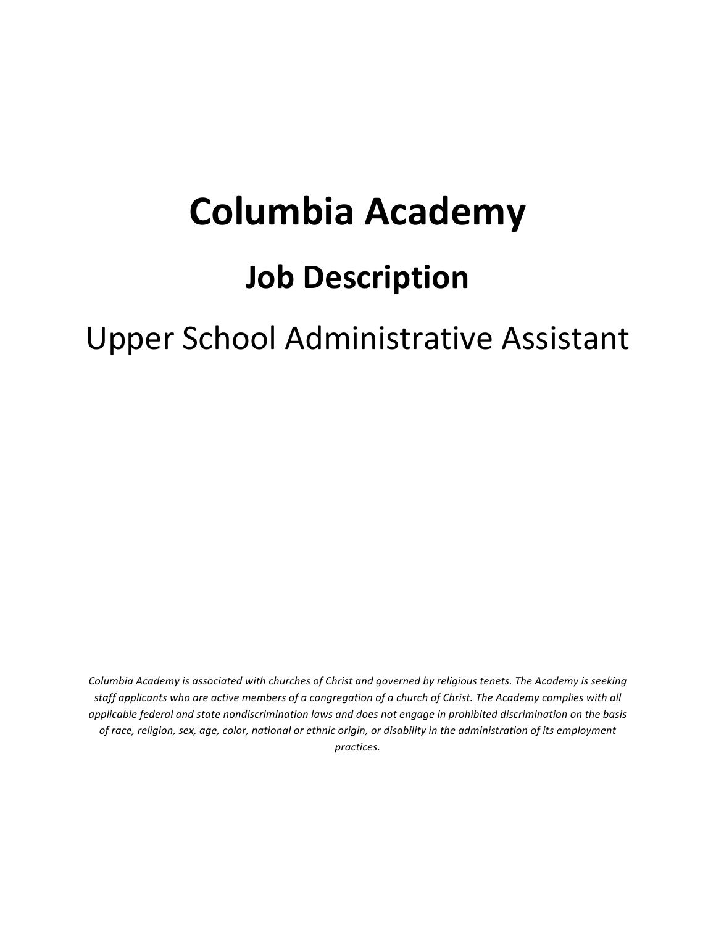# **Columbia Academy**

### **Job Description**

## Upper School Administrative Assistant

*Columbia Academy is associated with churches of Christ and governed by religious tenets. The Academy is seeking* staff applicants who are active members of a congregation of a church of Christ. The Academy complies with all *applicable federal and state nondiscrimination laws and does not engage in prohibited discrimination on the basis* of race, religion, sex, age, color, national or ethnic origin, or disability in the administration of its employment *practices.*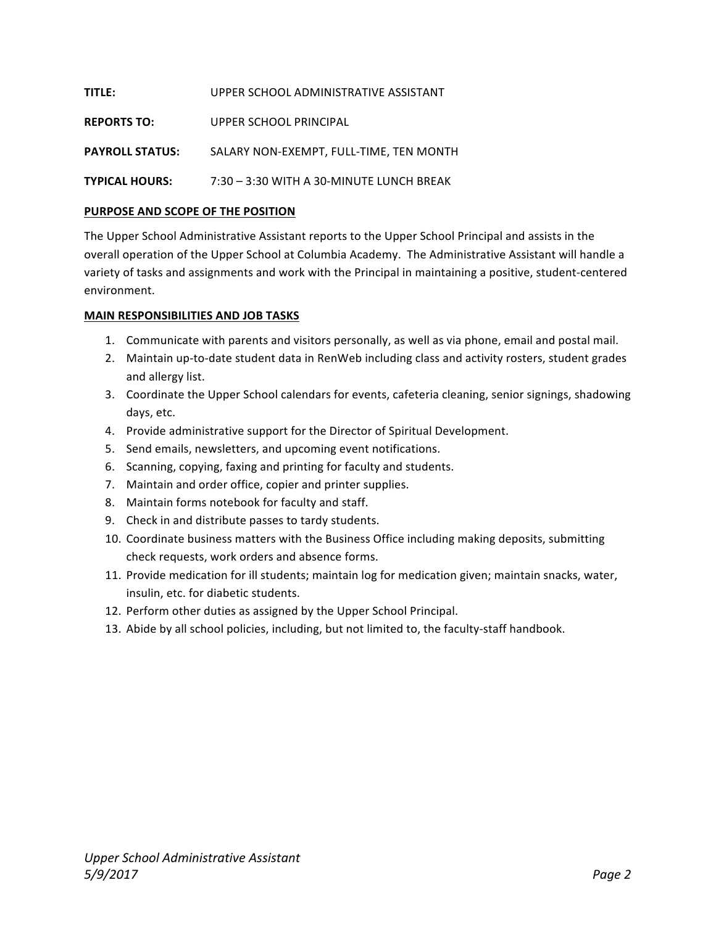| <b>TITLE:</b>          | UPPER SCHOOL ADMINISTRATIVE ASSISTANT    |
|------------------------|------------------------------------------|
| <b>REPORTS TO:</b>     | UPPER SCHOOL PRINCIPAL                   |
| <b>PAYROLL STATUS:</b> | SALARY NON-EXEMPT. FULL-TIME. TEN MONTH  |
| <b>TYPICAL HOURS:</b>  | 7:30 - 3:30 WITH A 30-MINUTE LUNCH BREAK |

#### **PURPOSE AND SCOPE OF THE POSITION**

The Upper School Administrative Assistant reports to the Upper School Principal and assists in the overall operation of the Upper School at Columbia Academy. The Administrative Assistant will handle a variety of tasks and assignments and work with the Principal in maintaining a positive, student-centered environment.

#### **MAIN RESPONSIBILITIES AND JOB TASKS**

- 1. Communicate with parents and visitors personally, as well as via phone, email and postal mail.
- 2. Maintain up-to-date student data in RenWeb including class and activity rosters, student grades and allergy list.
- 3. Coordinate the Upper School calendars for events, cafeteria cleaning, senior signings, shadowing days, etc.
- 4. Provide administrative support for the Director of Spiritual Development.
- 5. Send emails, newsletters, and upcoming event notifications.
- 6. Scanning, copying, faxing and printing for faculty and students.
- 7. Maintain and order office, copier and printer supplies.
- 8. Maintain forms notebook for faculty and staff.
- 9. Check in and distribute passes to tardy students.
- 10. Coordinate business matters with the Business Office including making deposits, submitting check requests, work orders and absence forms.
- 11. Provide medication for ill students; maintain log for medication given; maintain snacks, water, insulin, etc. for diabetic students.
- 12. Perform other duties as assigned by the Upper School Principal.
- 13. Abide by all school policies, including, but not limited to, the faculty-staff handbook.